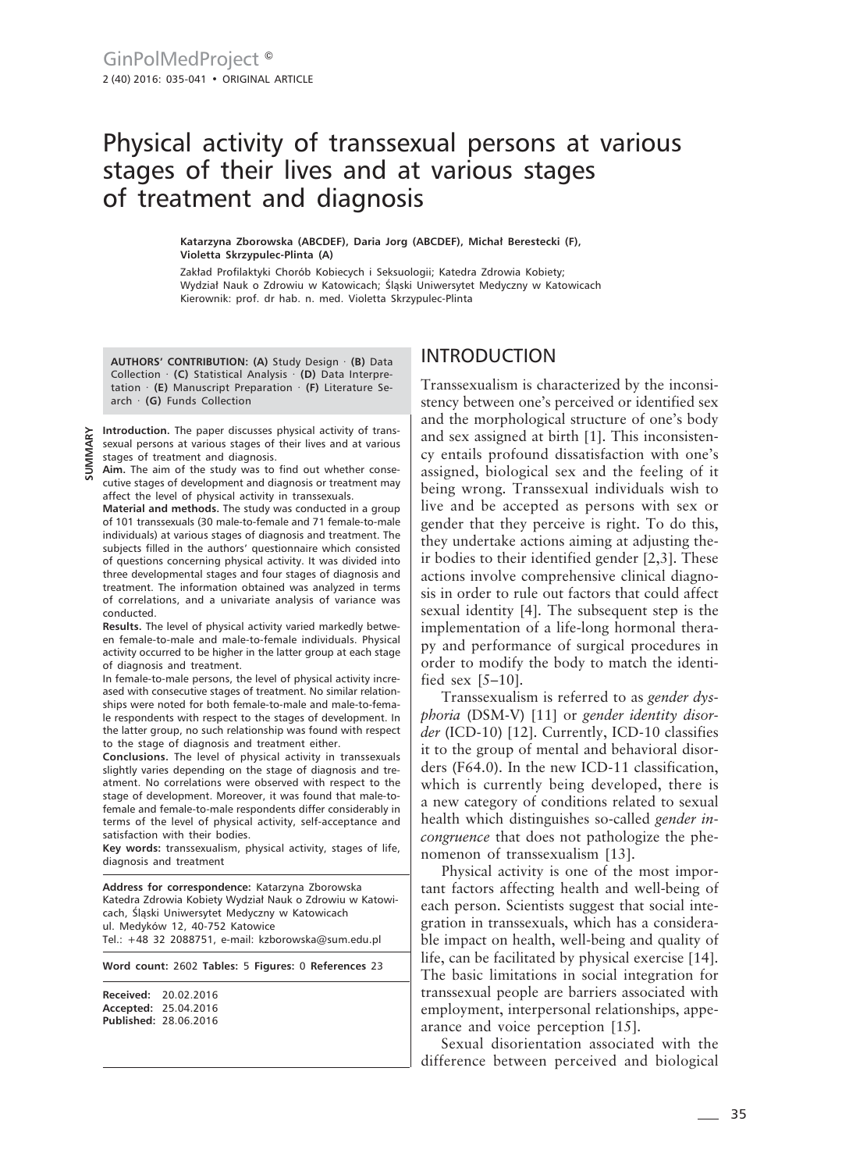# Physical activity of transsexual persons at various stages of their lives and at various stages of treatment and diagnosis

**Katarzyna Zborowska (ABCDEF), Daria Jorg (ABCDEF), Michał Berestecki (F), Violetta Skrzypulec-Plinta (A)**

Zakład Profilaktyki Chorób Kobiecych i Seksuologii; Katedra Zdrowia Kobiety; Wydział Nauk o Zdrowiu w Katowicach; Śląski Uniwersytet Medyczny w Katowicach Kierownik: prof. dr hab. n. med. Violetta Skrzypulec-Plinta

**AUTHORS' CONTRIBUTION: (A)** Study Design · **(B)** Data Collection · **(C)** Statistical Analysis · **(D)** Data Interpretation · **(E)** Manuscript Preparation · **(F)** Literature Search · **(G)** Funds Collection

**Introduction.** The paper discusses physical activity of transsexual persons at various stages of their lives and at various stages of treatment and diagnosis.

**Aim.** The aim of the study was to find out whether consecutive stages of development and diagnosis or treatment may affect the level of physical activity in transsexuals.

**Material and methods.** The study was conducted in a group of 101 transsexuals (30 male-to-female and 71 female-to-male individuals) at various stages of diagnosis and treatment. The subjects filled in the authors' questionnaire which consisted of questions concerning physical activity. It was divided into three developmental stages and four stages of diagnosis and treatment. The information obtained was analyzed in terms of correlations, and a univariate analysis of variance was conducted.

**Results.** The level of physical activity varied markedly between female-to-male and male-to-female individuals. Physical activity occurred to be higher in the latter group at each stage of diagnosis and treatment.

In female-to-male persons, the level of physical activity increased with consecutive stages of treatment. No similar relationships were noted for both female-to-male and male-to-female respondents with respect to the stages of development. In the latter group, no such relationship was found with respect to the stage of diagnosis and treatment either.

**Conclusions.** The level of physical activity in transsexuals slightly varies depending on the stage of diagnosis and treatment. No correlations were observed with respect to the stage of development. Moreover, it was found that male-tofemale and female-to-male respondents differ considerably in terms of the level of physical activity, self-acceptance and satisfaction with their bodies.

**Key words:** transsexualism, physical activity, stages of life, diagnosis and treatment

**Address for correspondence:** Katarzyna Zborowska Katedra Zdrowia Kobiety Wydział Nauk o Zdrowiu w Katowicach, Śląski Uniwersytet Medyczny w Katowicach ul. Medyków 12, 40-752 Katowice Tel.: +48 32 2088751, e-mail: kzborowska@sum.edu.pl

**Word count:** 2602 **Tables:** 5 **Figures:** 0 **References** 23

**Received:** 20.02.2016 **Accepted:** 25.04.2016 **Published:** 28.06.2016

# INTRODUCTION

Transsexualism is characterized by the inconsistency between one's perceived or identified sex and the morphological structure of one's body and sex assigned at birth [1]. This inconsistency entails profound dissatisfaction with one's assigned, biological sex and the feeling of it being wrong. Transsexual individuals wish to live and be accepted as persons with sex or gender that they perceive is right. To do this, they undertake actions aiming at adjusting their bodies to their identified gender [2,3]. These actions involve comprehensive clinical diagnosis in order to rule out factors that could affect sexual identity [4]. The subsequent step is the implementation of a life-long hormonal therapy and performance of surgical procedures in order to modify the body to match the identified sex [5–10].

Transsexualism is referred to as *gender dysphoria* (DSM-V) [11] or *gender identity disorder* (ICD-10) [12]. Currently, ICD-10 classifies it to the group of mental and behavioral disorders (F64.0). In the new ICD-11 classification, which is currently being developed, there is a new category of conditions related to sexual health which distinguishes so-called *gender incongruence* that does not pathologize the phenomenon of transsexualism [13].

Physical activity is one of the most important factors affecting health and well-being of each person. Scientists suggest that social integration in transsexuals, which has a considerable impact on health, well-being and quality of life, can be facilitated by physical exercise [14]. The basic limitations in social integration for transsexual people are barriers associated with employment, interpersonal relationships, appearance and voice perception [15].

Sexual disorientation associated with the difference between perceived and biological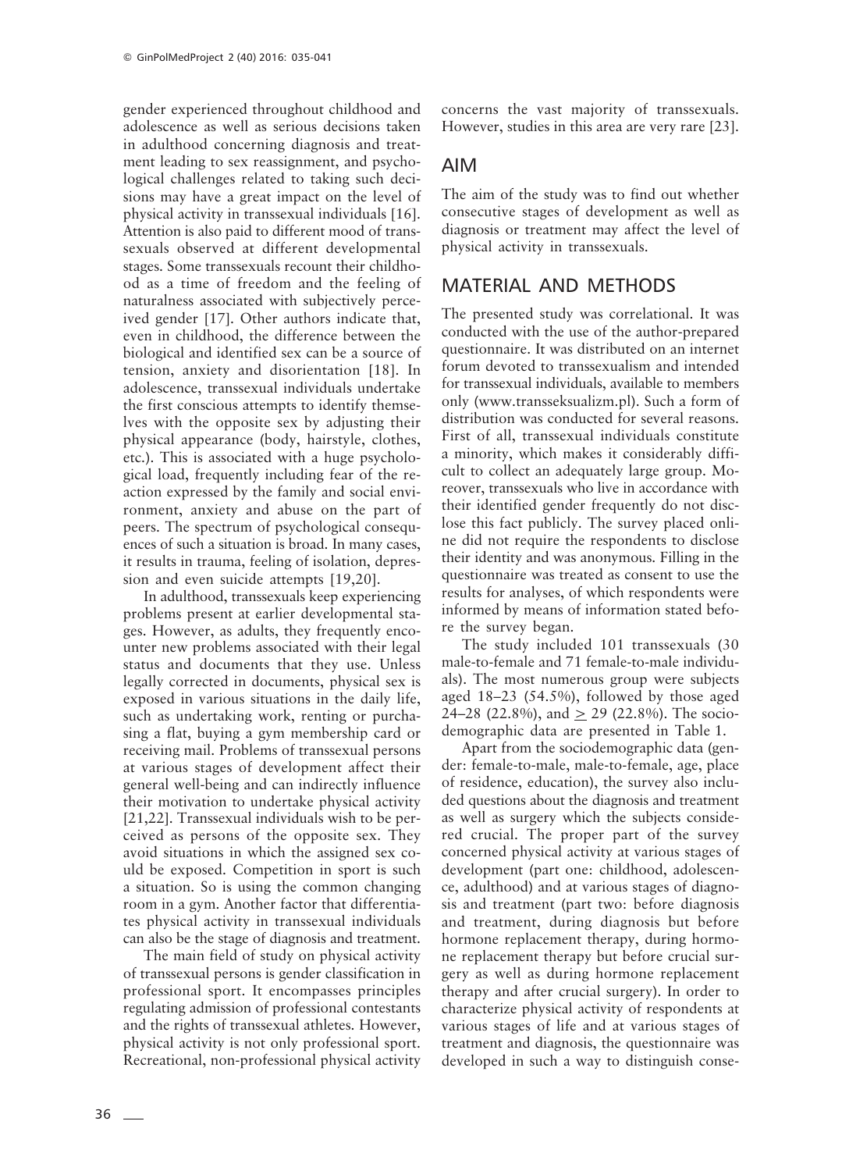gender experienced throughout childhood and adolescence as well as serious decisions taken in adulthood concerning diagnosis and treatment leading to sex reassignment, and psychological challenges related to taking such decisions may have a great impact on the level of physical activity in transsexual individuals [16]. Attention is also paid to different mood of transsexuals observed at different developmental stages. Some transsexuals recount their childhood as a time of freedom and the feeling of naturalness associated with subjectively perceived gender [17]. Other authors indicate that, even in childhood, the difference between the biological and identified sex can be a source of tension, anxiety and disorientation [18]. In adolescence, transsexual individuals undertake the first conscious attempts to identify themselves with the opposite sex by adjusting their physical appearance (body, hairstyle, clothes, etc.). This is associated with a huge psychological load, frequently including fear of the reaction expressed by the family and social environment, anxiety and abuse on the part of peers. The spectrum of psychological consequences of such a situation is broad. In many cases, it results in trauma, feeling of isolation, depression and even suicide attempts [19,20].

In adulthood, transsexuals keep experiencing problems present at earlier developmental stages. However, as adults, they frequently encounter new problems associated with their legal status and documents that they use. Unless legally corrected in documents, physical sex is exposed in various situations in the daily life, such as undertaking work, renting or purchasing a flat, buying a gym membership card or receiving mail. Problems of transsexual persons at various stages of development affect their general well-being and can indirectly influence their motivation to undertake physical activity [21,22]. Transsexual individuals wish to be perceived as persons of the opposite sex. They avoid situations in which the assigned sex could be exposed. Competition in sport is such a situation. So is using the common changing room in a gym. Another factor that differentiates physical activity in transsexual individuals can also be the stage of diagnosis and treatment.

The main field of study on physical activity of transsexual persons is gender classification in professional sport. It encompasses principles regulating admission of professional contestants and the rights of transsexual athletes. However, physical activity is not only professional sport. Recreational, non-professional physical activity

concerns the vast majority of transsexuals. However, studies in this area are very rare [23].

# AIM

The aim of the study was to find out whether consecutive stages of development as well as diagnosis or treatment may affect the level of physical activity in transsexuals.

# MATERIAL AND METHODS

The presented study was correlational. It was conducted with the use of the author-prepared questionnaire. It was distributed on an internet forum devoted to transsexualism and intended for transsexual individuals, available to members only (www.transseksualizm.pl). Such a form of distribution was conducted for several reasons. First of all, transsexual individuals constitute a minority, which makes it considerably difficult to collect an adequately large group. Moreover, transsexuals who live in accordance with their identified gender frequently do not disclose this fact publicly. The survey placed online did not require the respondents to disclose their identity and was anonymous. Filling in the questionnaire was treated as consent to use the results for analyses, of which respondents were informed by means of information stated before the survey began.

The study included 101 transsexuals (30 male-to-female and 71 female-to-male individuals). The most numerous group were subjects aged 18–23 (54.5%), followed by those aged 24–28 (22.8%), and  $> 29$  (22.8%). The sociodemographic data are presented in Table 1.

Apart from the sociodemographic data (gender: female-to-male, male-to-female, age, place of residence, education), the survey also included questions about the diagnosis and treatment as well as surgery which the subjects considered crucial. The proper part of the survey concerned physical activity at various stages of development (part one: childhood, adolescence, adulthood) and at various stages of diagnosis and treatment (part two: before diagnosis and treatment, during diagnosis but before hormone replacement therapy, during hormone replacement therapy but before crucial surgery as well as during hormone replacement therapy and after crucial surgery). In order to characterize physical activity of respondents at various stages of life and at various stages of treatment and diagnosis, the questionnaire was developed in such a way to distinguish conse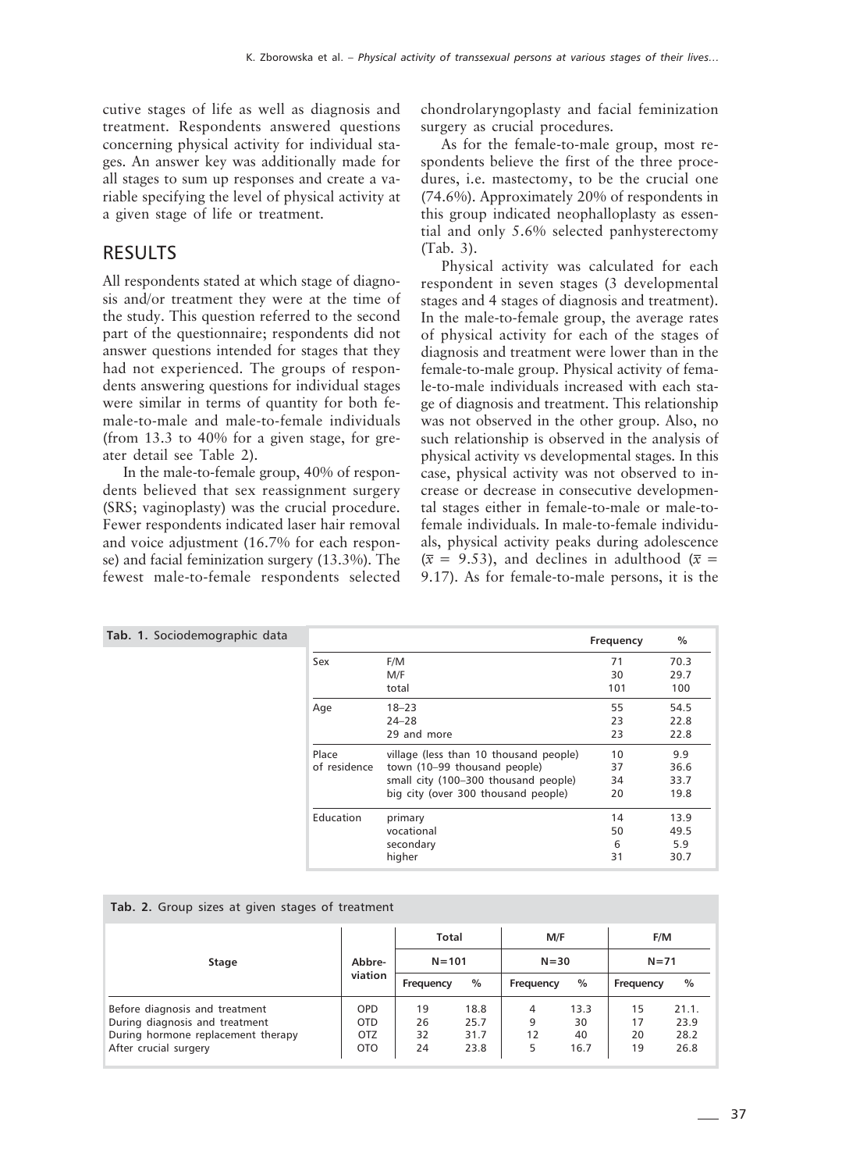cutive stages of life as well as diagnosis and treatment. Respondents answered questions concerning physical activity for individual stages. An answer key was additionally made for all stages to sum up responses and create a variable specifying the level of physical activity at a given stage of life or treatment.

## RESULTS

All respondents stated at which stage of diagnosis and/or treatment they were at the time of the study. This question referred to the second part of the questionnaire; respondents did not answer questions intended for stages that they had not experienced. The groups of respondents answering questions for individual stages were similar in terms of quantity for both female-to-male and male-to-female individuals (from 13.3 to 40% for a given stage, for greater detail see Table 2).

In the male-to-female group, 40% of respondents believed that sex reassignment surgery (SRS; vaginoplasty) was the crucial procedure. Fewer respondents indicated laser hair removal and voice adjustment (16.7% for each response) and facial feminization surgery (13.3%). The fewest male-to-female respondents selected chondrolaryngoplasty and facial feminization surgery as crucial procedures.

As for the female-to-male group, most respondents believe the first of the three procedures, i.e. mastectomy, to be the crucial one (74.6%). Approximately 20% of respondents in this group indicated neophalloplasty as essential and only 5.6% selected panhysterectomy (Tab. 3).

Physical activity was calculated for each respondent in seven stages (3 developmental stages and 4 stages of diagnosis and treatment). In the male-to-female group, the average rates of physical activity for each of the stages of diagnosis and treatment were lower than in the female-to-male group. Physical activity of female-to-male individuals increased with each stage of diagnosis and treatment. This relationship was not observed in the other group. Also, no such relationship is observed in the analysis of physical activity vs developmental stages. In this case, physical activity was not observed to increase or decrease in consecutive developmental stages either in female-to-male or male-tofemale individuals. In male-to-female individuals, physical activity peaks during adolescence  $(\bar{x} = 9.53)$ , and declines in adulthood  $(\bar{x} = 9.53)$ 9.17). As for female-to-male persons, it is the

| Tab. 1. Sociodemographic data |              |                                        | Frequency | $\%$ |
|-------------------------------|--------------|----------------------------------------|-----------|------|
|                               | Sex          | F/M                                    | 71        | 70.3 |
|                               |              | M/F                                    | 30        | 29.7 |
|                               |              | total                                  | 101       | 100  |
|                               | Age          | $18 - 23$                              | 55        | 54.5 |
|                               |              | $24 - 28$                              | 23        | 22.8 |
|                               |              | 29 and more                            | 23        | 22.8 |
|                               | Place        | village (less than 10 thousand people) | 10        | 9.9  |
|                               | of residence | town (10-99 thousand people)           | 37        | 36.6 |
|                               |              | small city (100-300 thousand people)   | 34        | 33.7 |
|                               |              | big city (over 300 thousand people)    | 20        | 19.8 |
|                               | Education    | primary                                | 14        | 13.9 |
|                               |              | vocational                             | 50        | 49.5 |
|                               |              | secondary                              | 6         | 5.9  |
|                               |              | higher                                 | 31        | 30.7 |

| Tab. 2. Group sizes at given stages of treatment |  |  |  |  |  |  |  |  |  |
|--------------------------------------------------|--|--|--|--|--|--|--|--|--|
|--------------------------------------------------|--|--|--|--|--|--|--|--|--|

|                                                                                                                                 |                                               | Total                |                              | M/F               |                          | F/M                  |                               |  |
|---------------------------------------------------------------------------------------------------------------------------------|-----------------------------------------------|----------------------|------------------------------|-------------------|--------------------------|----------------------|-------------------------------|--|
| Stage                                                                                                                           | Abbre-                                        | $N = 101$            |                              | $N = 30$          |                          | $N = 71$             |                               |  |
|                                                                                                                                 | viation                                       | Frequency            | $\%$                         | Frequency         | $\%$                     | Frequency            | $\%$                          |  |
| Before diagnosis and treatment<br>During diagnosis and treatment<br>During hormone replacement therapy<br>After crucial surgery | OPD<br><b>OTD</b><br><b>OTZ</b><br><b>OTO</b> | 19<br>26<br>32<br>24 | 18.8<br>25.7<br>31.7<br>23.8 | 4<br>9<br>12<br>5 | 13.3<br>30<br>40<br>16.7 | 15<br>17<br>20<br>19 | 21.1.<br>23.9<br>28.2<br>26.8 |  |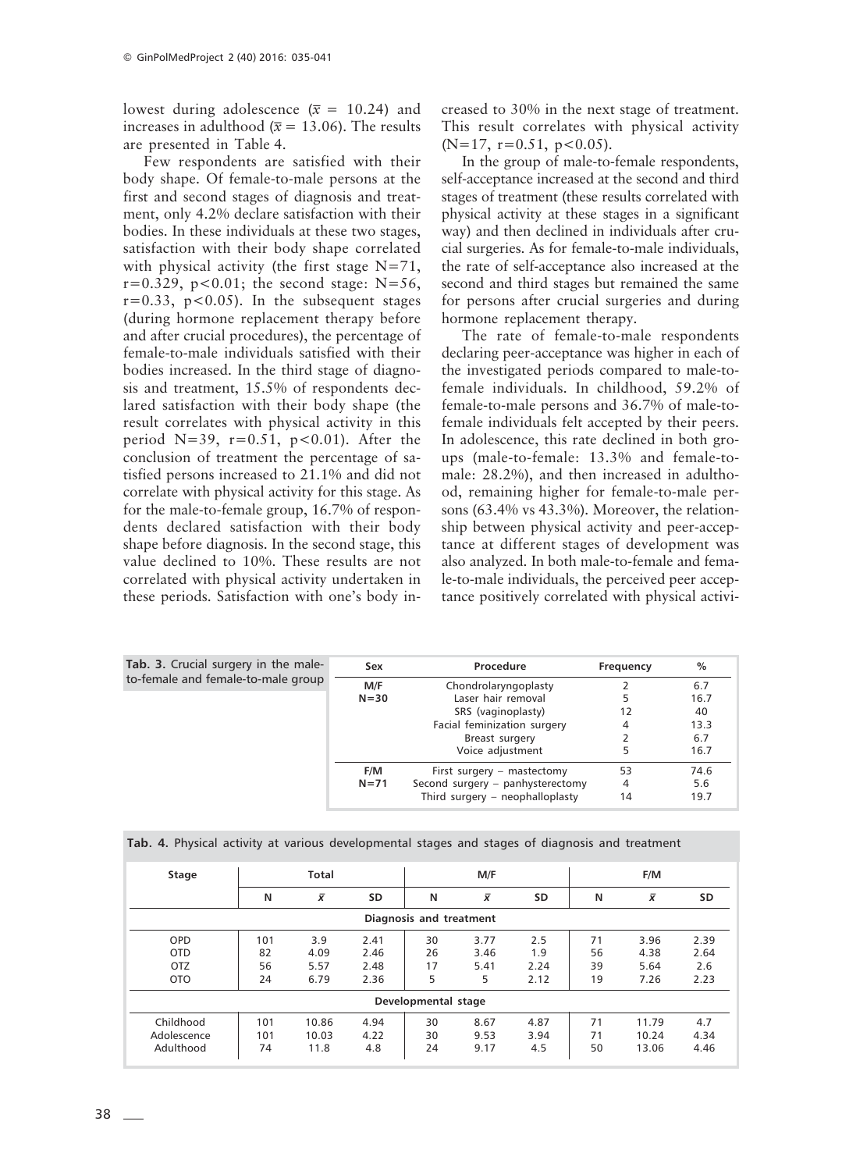lowest during adolescence ( $\bar{x}$  = 10.24) and increases in adulthood ( $\bar{x}$  = 13.06). The results are presented in Table 4.

Few respondents are satisfied with their body shape. Of female-to-male persons at the first and second stages of diagnosis and treatment, only 4.2% declare satisfaction with their bodies. In these individuals at these two stages, satisfaction with their body shape correlated with physical activity (the first stage N=71,  $r=0.329$ ,  $p<0.01$ ; the second stage: N=56,  $r=0.33$ ,  $p<0.05$ ). In the subsequent stages (during hormone replacement therapy before and after crucial procedures), the percentage of female-to-male individuals satisfied with their bodies increased. In the third stage of diagnosis and treatment, 15.5% of respondents declared satisfaction with their body shape (the result correlates with physical activity in this period N=39,  $r=0.51$ ,  $p<0.01$ ). After the conclusion of treatment the percentage of satisfied persons increased to 21.1% and did not correlate with physical activity for this stage. As for the male-to-female group, 16.7% of respondents declared satisfaction with their body shape before diagnosis. In the second stage, this value declined to 10%. These results are not correlated with physical activity undertaken in these periods. Satisfaction with one's body increased to 30% in the next stage of treatment. This result correlates with physical activity  $(N=17, r=0.51, p<0.05)$ .

In the group of male-to-female respondents, self-acceptance increased at the second and third stages of treatment (these results correlated with physical activity at these stages in a significant way) and then declined in individuals after crucial surgeries. As for female-to-male individuals, the rate of self-acceptance also increased at the second and third stages but remained the same for persons after crucial surgeries and during hormone replacement therapy.

The rate of female-to-male respondents declaring peer-acceptance was higher in each of the investigated periods compared to male-tofemale individuals. In childhood, 59.2% of female-to-male persons and 36.7% of male-tofemale individuals felt accepted by their peers. In adolescence, this rate declined in both groups (male-to-female: 13.3% and female-tomale: 28.2%), and then increased in adulthood, remaining higher for female-to-male persons (63.4% vs 43.3%). Moreover, the relationship between physical activity and peer-acceptance at different stages of development was also analyzed. In both male-to-female and female-to-male individuals, the perceived peer acceptance positively correlated with physical activi-

| <b>Tab. 3.</b> Crucial surgery in the male- | Sex      | Procedure                         | Frequency | $\frac{0}{0}$ |
|---------------------------------------------|----------|-----------------------------------|-----------|---------------|
| to-female and female-to-male group          | M/F      | Chondrolaryngoplasty              |           | 6.7           |
|                                             | $N = 30$ | Laser hair removal                |           | 16.7          |
|                                             |          | SRS (vaginoplasty)                | 12        | 40            |
|                                             |          | Facial feminization surgery       | 4         | 13.3          |
|                                             |          | Breast surgery                    |           | 6.7           |
|                                             |          | Voice adjustment                  |           | 16.7          |
|                                             | F/M      | First surgery - mastectomy        | 53        | 74.6          |
|                                             | $N = 71$ | Second surgery - panhysterectomy  | 4         | 5.6           |
|                                             |          | Third surgery $-$ neophalloplasty | 14        | 19.7          |

|  |  |  |  |  | Tab. 4. Physical activity at various developmental stages and stages of diagnosis and treatment |  |  |  |  |  |  |  |
|--|--|--|--|--|-------------------------------------------------------------------------------------------------|--|--|--|--|--|--|--|
|--|--|--|--|--|-------------------------------------------------------------------------------------------------|--|--|--|--|--|--|--|

| Stage       |     | Total     |           |                         | M/F       |           |    | F/M       |           |
|-------------|-----|-----------|-----------|-------------------------|-----------|-----------|----|-----------|-----------|
|             | N   | $\bar{x}$ | <b>SD</b> | N                       | $\bar{x}$ | <b>SD</b> | N  | $\bar{x}$ | <b>SD</b> |
|             |     |           |           | Diagnosis and treatment |           |           |    |           |           |
| <b>OPD</b>  | 101 | 3.9       | 2.41      | 30                      | 3.77      | 2.5       | 71 | 3.96      | 2.39      |
| <b>OTD</b>  | 82  | 4.09      | 2.46      | 26                      | 3.46      | 1.9       | 56 | 4.38      | 2.64      |
| <b>OTZ</b>  | 56  | 5.57      | 2.48      | 17                      | 5.41      | 2.24      | 39 | 5.64      | 2.6       |
| <b>OTO</b>  | 24  | 6.79      | 2.36      | 5                       | 5         | 2.12      | 19 | 7.26      | 2.23      |
|             |     |           |           | Developmental stage     |           |           |    |           |           |
| Childhood   | 101 | 10.86     | 4.94      | 30                      | 8.67      | 4.87      | 71 | 11.79     | 4.7       |
| Adolescence | 101 | 10.03     | 4.22      | 30                      | 9.53      | 3.94      | 71 | 10.24     | 4.34      |
| Adulthood   | 74  | 11.8      | 4.8       | 24                      | 9.17      | 4.5       | 50 | 13.06     | 4.46      |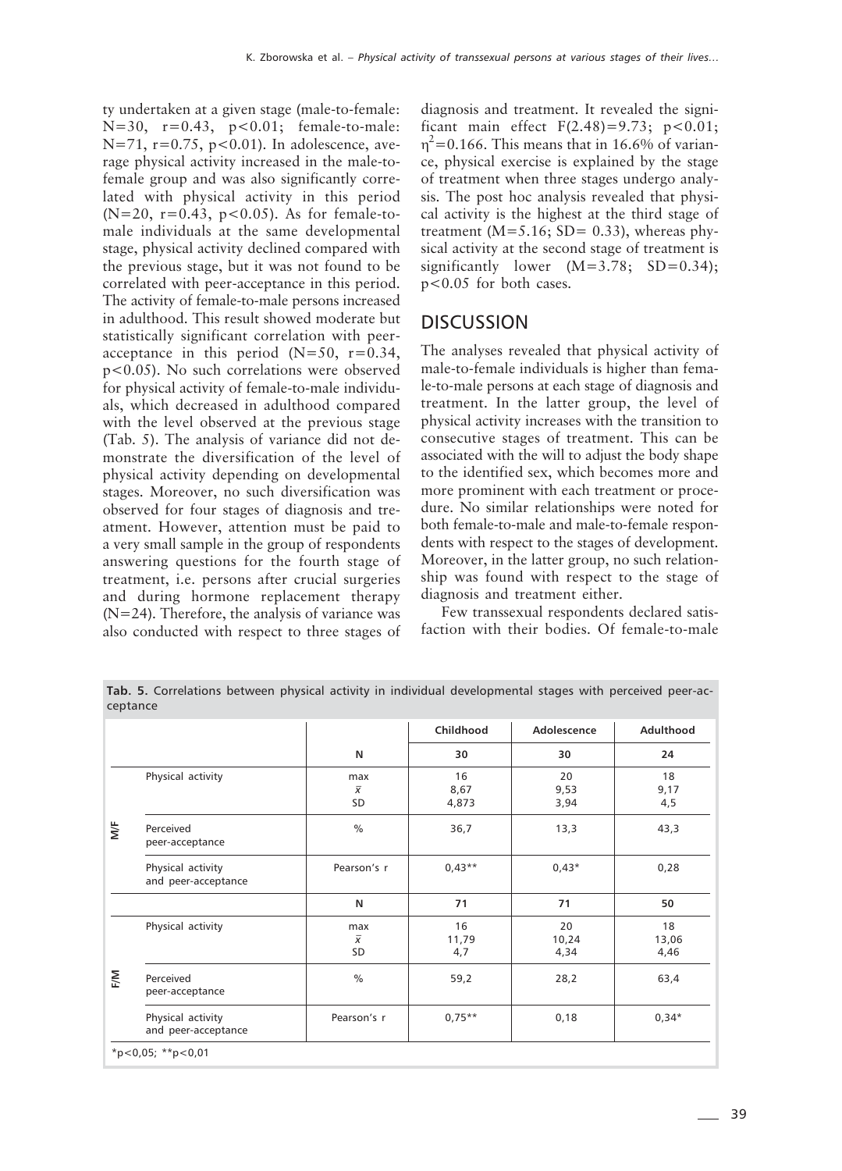ty undertaken at a given stage (male-to-female: N=30,  $r=0.43$ ,  $p<0.01$ ; female-to-male:  $N=71$ ,  $r=0.75$ ,  $p<0.01$ ). In adolescence, average physical activity increased in the male-tofemale group and was also significantly correlated with physical activity in this period  $(N=20, r=0.43, p<0.05)$ . As for female-tomale individuals at the same developmental stage, physical activity declined compared with the previous stage, but it was not found to be correlated with peer-acceptance in this period. The activity of female-to-male persons increased in adulthood. This result showed moderate but statistically significant correlation with peeracceptance in this period  $(N=50, r=0.34,$ p<0.05). No such correlations were observed for physical activity of female-to-male individuals, which decreased in adulthood compared with the level observed at the previous stage (Tab. 5). The analysis of variance did not demonstrate the diversification of the level of physical activity depending on developmental stages. Moreover, no such diversification was observed for four stages of diagnosis and treatment. However, attention must be paid to a very small sample in the group of respondents answering questions for the fourth stage of treatment, i.e. persons after crucial surgeries and during hormone replacement therapy (N=24). Therefore, the analysis of variance was also conducted with respect to three stages of diagnosis and treatment. It revealed the significant main effect  $F(2.48) = 9.73$ ;  $p < 0.01$ ;  $\eta^2$ =0.166. This means that in 16.6% of variance, physical exercise is explained by the stage of treatment when three stages undergo analysis. The post hoc analysis revealed that physical activity is the highest at the third stage of treatment ( $M=5.16$ ; SD= 0.33), whereas physical activity at the second stage of treatment is significantly lower  $(M=3.78; SD=0.34);$ p<0.05 for both cases.

#### **DISCUSSION**

The analyses revealed that physical activity of male-to-female individuals is higher than female-to-male persons at each stage of diagnosis and treatment. In the latter group, the level of physical activity increases with the transition to consecutive stages of treatment. This can be associated with the will to adjust the body shape to the identified sex, which becomes more and more prominent with each treatment or procedure. No similar relationships were noted for both female-to-male and male-to-female respondents with respect to the stages of development. Moreover, in the latter group, no such relationship was found with respect to the stage of diagnosis and treatment either.

Few transsexual respondents declared satisfaction with their bodies. Of female-to-male

**Tab. 5.** Correlations between physical activity in individual developmental stages with perceived peer-acceptance

|                                          |                             |                     |                     | Adulthood           |  |
|------------------------------------------|-----------------------------|---------------------|---------------------|---------------------|--|
|                                          | N                           | 30                  | 30                  | 24                  |  |
| Physical activity                        | max<br>$\overline{x}$<br>SD | 16<br>8,67<br>4,873 | 20<br>9,53<br>3,94  | 18<br>9,17<br>4,5   |  |
| Perceived<br>peer-acceptance             | $\frac{0}{0}$               | 36,7                | 13,3                | 43,3                |  |
| Physical activity<br>and peer-acceptance | Pearson's r                 | $0.43**$            | $0.43*$             | 0,28                |  |
|                                          | N                           | 71                  | 71                  | 50                  |  |
| Physical activity                        | max<br>$\overline{x}$<br>SD | 16<br>11,79<br>4,7  | 20<br>10,24<br>4,34 | 18<br>13,06<br>4,46 |  |
| Perceived<br>peer-acceptance             | $\frac{0}{0}$               | 59,2                | 28,2                | 63,4                |  |
| Physical activity<br>and peer-acceptance | Pearson's r                 | $0.75***$           | 0,18                | $0,34*$             |  |
|                                          | *p<0,05; **p<0,01           |                     |                     |                     |  |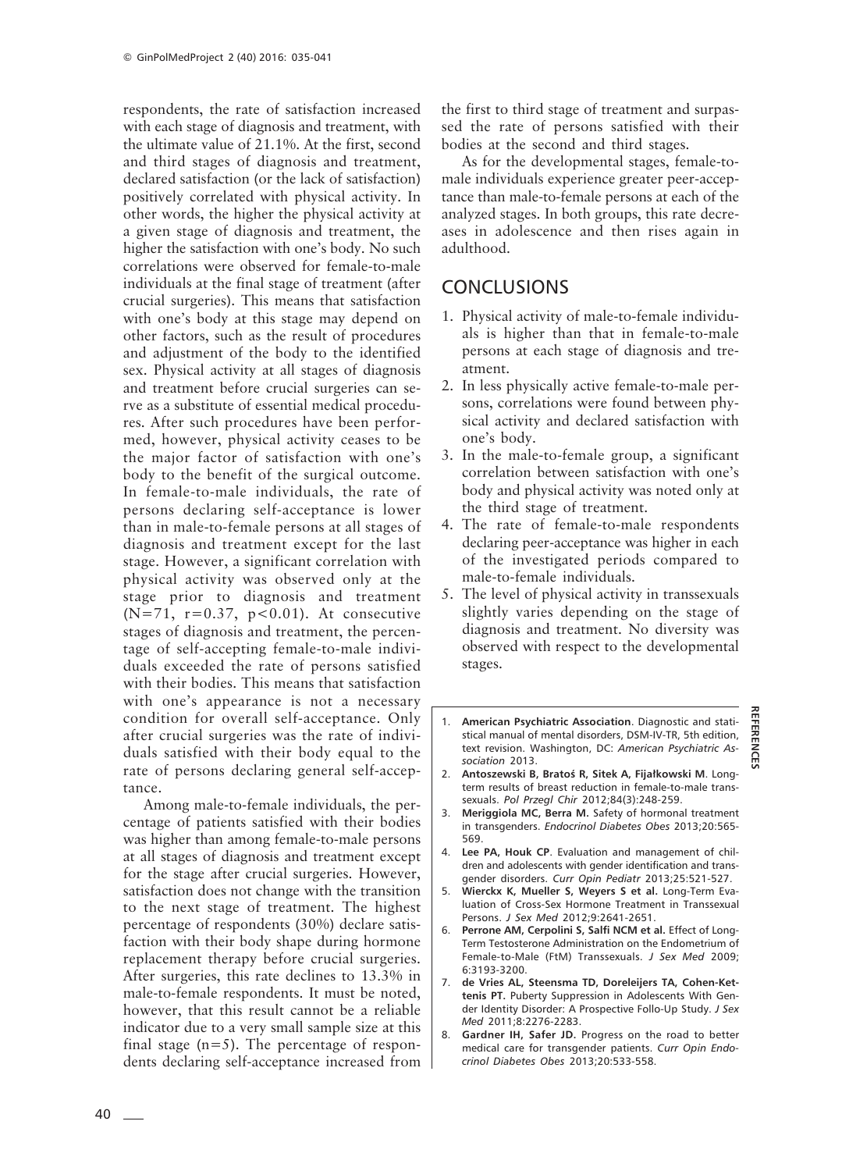respondents, the rate of satisfaction increased with each stage of diagnosis and treatment, with the ultimate value of 21.1%. At the first, second and third stages of diagnosis and treatment, declared satisfaction (or the lack of satisfaction) positively correlated with physical activity. In other words, the higher the physical activity at a given stage of diagnosis and treatment, the higher the satisfaction with one's body. No such correlations were observed for female-to-male individuals at the final stage of treatment (after crucial surgeries). This means that satisfaction with one's body at this stage may depend on other factors, such as the result of procedures and adjustment of the body to the identified sex. Physical activity at all stages of diagnosis and treatment before crucial surgeries can serve as a substitute of essential medical procedures. After such procedures have been performed, however, physical activity ceases to be the major factor of satisfaction with one's body to the benefit of the surgical outcome. In female-to-male individuals, the rate of persons declaring self-acceptance is lower than in male-to-female persons at all stages of diagnosis and treatment except for the last stage. However, a significant correlation with physical activity was observed only at the stage prior to diagnosis and treatment  $(N=71, r=0.37, p<0.01)$ . At consecutive stages of diagnosis and treatment, the percentage of self-accepting female-to-male individuals exceeded the rate of persons satisfied with their bodies. This means that satisfaction with one's appearance is not a necessary condition for overall self-acceptance. Only after crucial surgeries was the rate of individuals satisfied with their body equal to the rate of persons declaring general self-acceptance.

Among male-to-female individuals, the percentage of patients satisfied with their bodies was higher than among female-to-male persons at all stages of diagnosis and treatment except for the stage after crucial surgeries. However, satisfaction does not change with the transition to the next stage of treatment. The highest percentage of respondents (30%) declare satisfaction with their body shape during hormone replacement therapy before crucial surgeries. After surgeries, this rate declines to 13.3% in male-to-female respondents. It must be noted, however, that this result cannot be a reliable indicator due to a very small sample size at this final stage  $(n=5)$ . The percentage of respondents declaring self-acceptance increased from the first to third stage of treatment and surpassed the rate of persons satisfied with their bodies at the second and third stages.

As for the developmental stages, female-tomale individuals experience greater peer-acceptance than male-to-female persons at each of the analyzed stages. In both groups, this rate decreases in adolescence and then rises again in adulthood.

# **CONCLUSIONS**

- 1. Physical activity of male-to-female individuals is higher than that in female-to-male persons at each stage of diagnosis and treatment.
- 2. In less physically active female-to-male persons, correlations were found between physical activity and declared satisfaction with one's body.
- 3. In the male-to-female group, a significant correlation between satisfaction with one's body and physical activity was noted only at the third stage of treatment.
- 4. The rate of female-to-male respondents declaring peer-acceptance was higher in each of the investigated periods compared to male-to-female individuals.
- 5. The level of physical activity in transsexuals slightly varies depending on the stage of diagnosis and treatment. No diversity was observed with respect to the developmental stages.
- 1. **American Psychiatric Association**. Diagnostic and statistical manual of mental disorders, DSM-IV-TR, 5th edition, text revision. Washington, DC: *American Psychiatric Association* 2013.

**REFERENCES**

펹

**REFERENC** 

- 2. **Antoszewski B, Bratoś R, Sitek A, Fijałkowski M**. Longterm results of breast reduction in female-to-male transsexuals. *Pol Przegl Chir* 2012;84(3):248-259.
- 3. **Meriggiola MC, Berra M.** Safety of hormonal treatment in transgenders. *Endocrinol Diabetes Obes* 2013;20:565- 569.
- 4. **Lee PA, Houk CP**. Evaluation and management of children and adolescents with gender identification and transgender disorders. *Curr Opin Pediatr* 2013;25:521-527.
- 5. **Wierckx K, Mueller S, Weyers S et al.** Long-Term Evaluation of Cross-Sex Hormone Treatment in Transsexual Persons. *J Sex Med* 2012;9:2641-2651.
- 6. **Perrone AM, Cerpolini S, Salfi NCM et al.** Effect of Long-Term Testosterone Administration on the Endometrium of Female-to-Male (FtM) Transsexuals. *J Sex Med* 2009; 6:3193-3200.
- 7. **de Vries AL, Steensma TD, Doreleijers TA, Cohen-Kettenis PT.** Puberty Suppression in Adolescents With Gender Identity Disorder: A Prospective Follo-Up Study. *J Sex Med* 2011;8:2276-2283.
- 8. **Gardner IH, Safer JD.** Progress on the road to better medical care for transgender patients. *Curr Opin Endocrinol Diabetes Obes* 2013;20:533-558.